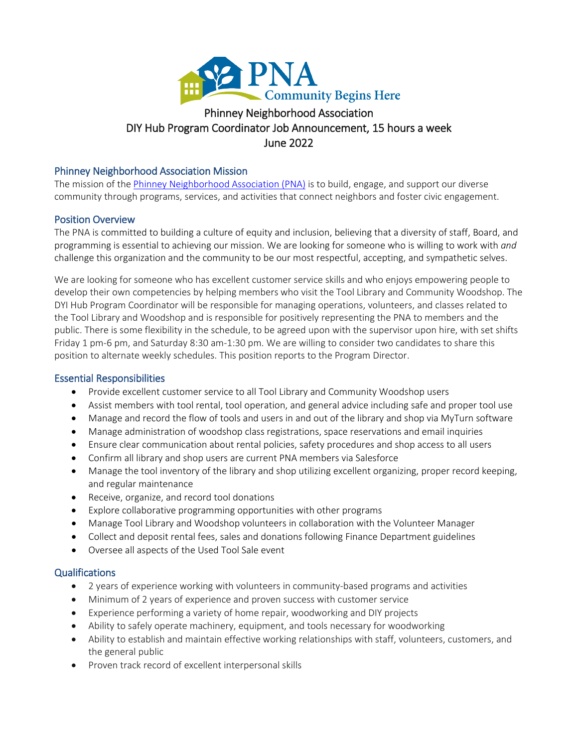

# DIY Hub Program Coordinator Job Announcement, 15 hours a week ghborhood A<br>ir Job Annou<br>June 2022

## Phinney Neighborhood Association Mission

The mission of th[e Phinney Neighborhood Association \(PNA\)](http://www.phinneycenter.org/) is to build, engage, and support our diverse community through programs, services, and activities that connect neighbors and foster civic engagement.

## Position Overview

The PNA is committed to building a culture of equity and inclusion, believing that a diversity of staff, Board, and programming is essential to achieving our mission. We are looking for someone who is willing to work with *and* challenge this organization and the community to be our most respectful, accepting, and sympathetic selves.

We are looking for someone who has excellent customer service skills and who enjoys empowering people to develop their own competencies by helping members who visit the Tool Library and Community Woodshop. The DYI Hub Program Coordinator will be responsible for managing operations, volunteers, and classes related to the Tool Library and Woodshop and is responsible for positively representing the PNA to members and the public. There is some flexibility in the schedule, to be agreed upon with the supervisor upon hire, with set shifts Friday 1 pm-6 pm, and Saturday 8:30 am-1:30 pm. We are willing to consider two candidates to share this position to alternate weekly schedules. This position reports to the Program Director.

## Essential Responsibilities

- Provide excellent customer service to all Tool Library and Community Woodshop users
- Assist members with tool rental, tool operation, and general advice including safe and proper tool use
- Manage and record the flow of tools and users in and out of the library and shop via MyTurn software
- Manage administration of woodshop class registrations, space reservations and email inquiries
- Ensure clear communication about rental policies, safety procedures and shop access to all users
- Confirm all library and shop users are current PNA members via Salesforce
- Manage the tool inventory of the library and shop utilizing excellent organizing, proper record keeping, and regular maintenance
- Receive, organize, and record tool donations
- Explore collaborative programming opportunities with other programs
- Manage Tool Library and Woodshop volunteers in collaboration with the Volunteer Manager
- Collect and deposit rental fees, sales and donations following Finance Department guidelines
- Oversee all aspects of the Used Tool Sale event

## Qualifications

- 2 years of experience working with volunteers in community-based programs and activities
- Minimum of 2 years of experience and proven success with customer service
- Experience performing a variety of home repair, woodworking and DIY projects
- Ability to safely operate machinery, equipment, and tools necessary for woodworking
- Ability to establish and maintain effective working relationships with staff, volunteers, customers, and the general public
- Proven track record of excellent interpersonal skills